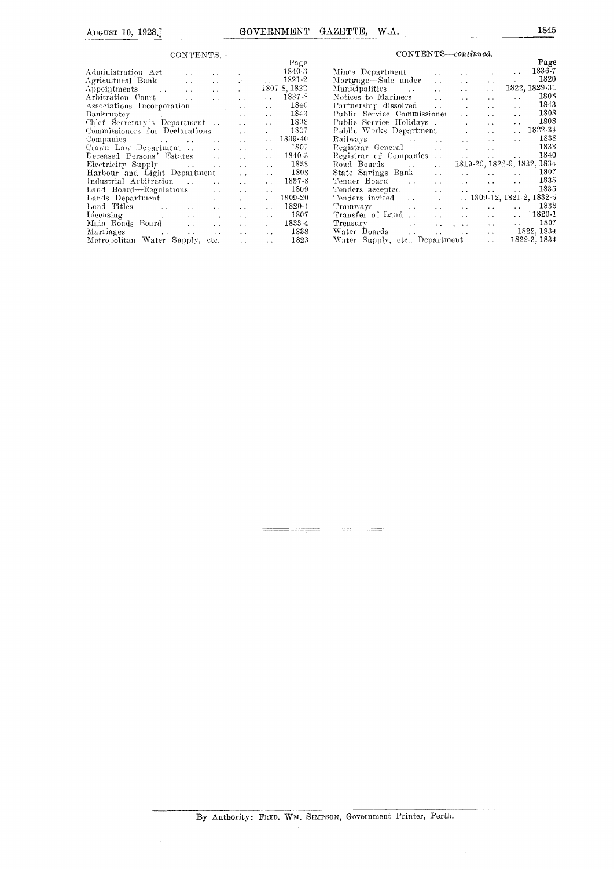#### CONTENTS:

|                                                                                                                                                                                                                                                                   |                              | Page                       |                                                                  |                          |                                                 | Page                 |
|-------------------------------------------------------------------------------------------------------------------------------------------------------------------------------------------------------------------------------------------------------------------|------------------------------|----------------------------|------------------------------------------------------------------|--------------------------|-------------------------------------------------|----------------------|
| Administration Act<br>$\sim$ $\sim$                                                                                                                                                                                                                               |                              | 1840-3                     | Mines Department<br>$\sim$ $\sim$                                | $\sim$ $\sim$            | $\sim$ $\sim$                                   | 1836-7               |
| Agricultural Bank<br>$\sim 100$<br>$\sim 10^{-11}$                                                                                                                                                                                                                | $\mathbf{v}^{\mathcal{L}}$ . | 1821-2                     | Mortgage—Sale under<br>$\sim$ $\sim$                             | $\sim$ $\sim$            | $\sim$ $\sim$                                   | 1820                 |
| Appointments<br><b>Contractor</b><br>$\sim 10^{-1}$<br>$\sim 10^{-1}$                                                                                                                                                                                             | $\sim 10^{-1}$               | 1807-8, 1822               | Municipalities<br>$\sim 100$<br>$\sim$ $\sim$                    | $\sim$ $\sim$            | $\ddot{\phantom{0}}$                            | 1822, 1829-31        |
| Arbitration Court<br>$\sim 10^{-1}$<br><b>Contractor</b>                                                                                                                                                                                                          | $\sim 10^{-1}$               | $1837 - 8$                 | Notices to Mariners<br>$\ddot{\phantom{a}}$                      | $\ddot{\phantom{a}}$     | $\ddot{\phantom{a}}$<br>$\ddots$                | 1803                 |
| Associations Incorporation<br>$\mathcal{L}(\mathcal{L}^{\mathcal{L}})$ .                                                                                                                                                                                          | $\sim$ $\sim$                | 1840<br>$\sim 10^{-11}$    | Partnership dissolved<br>$\sim$                                  | $\ddot{\phantom{0}}$     | $\sim$ $\sim$                                   | 1843                 |
| Bankruptcy and the second state of the second state of the second state of the second state of the second state of the second state of the second state of the second state of the second state of the second state of the sec                                    | $\sim 10^{-1}$               | 1843                       | Public Service Commissioner                                      | $\ddot{\phantom{a}}$     | $\ddot{\phantom{a}}$                            | 1808                 |
| Chief Secretary's Department                                                                                                                                                                                                                                      | $\sim 10^{-1}$               | 1808                       | Public Service Holidays                                          | $\sim 10$                | $\mathbf{L}$                                    | 1808                 |
| Commissioners for Declarations                                                                                                                                                                                                                                    | $\sim 10^{-1}$               | 1807                       | Public Works Department                                          | $\sim 10^{-1}$           |                                                 | $\therefore$ 1822-34 |
| Companies and the companies of the companies of the companies of the companies of the companies of the companies of the companies of the companies of the companies of the companies of the companies of the companies of the                                     | $\sim 10^{-1}$               | 1839-40<br>$\sim 10^{-11}$ | Railways<br><b>Contract Contract</b>                             | $\sim 10^{-1}$           | $\sim$<br>$\sim$                                | 1838                 |
|                                                                                                                                                                                                                                                                   | $\sim 10^{-1}$               | 1807                       | Registrar General<br>$\mathcal{L}^{\pm}$ , $\mathcal{L}^{\pm}$ , | <b>Service</b>           | <b>Service</b>                                  | 1838                 |
| Deceased Persons' Estates<br><b>Contract</b>                                                                                                                                                                                                                      | $\sim 10^{-1}$               | $1840 - 3$                 | Registrar of Companies                                           | $\sim 1000$ km s $^{-1}$ | $\sim 10^{-1}$<br>$\mathbf{z}$ , $\mathbf{z}$ , | 1840                 |
|                                                                                                                                                                                                                                                                   | $\sim 10^{-1}$               | <b>183S</b>                | Road Boards<br>$\sim 10^{-1}$                                    |                          | 1819-20, 1822-9, 1832, 1834                     |                      |
| Harbour and Light Department                                                                                                                                                                                                                                      | $\sim$ $\sim$                | 1808                       | State Savings Bank<br>$\sim 10$                                  | <b>Contract Contract</b> | $\sim 10^{-10}$<br>$\sim 100$                   | 1807                 |
| Industrial Arbitration                                                                                                                                                                                                                                            | $\sim 10^{-1}$               | 1837-8                     | Tender Board<br>$\sim 10^{-1}$<br><b>Contract Contract</b>       | <b>Allen Common</b>      | <b>Allen Control</b><br>$\sim 100$              | 1835                 |
| Land Board—Regulations<br>$\Delta \sim 10^{-1}$                                                                                                                                                                                                                   | $\sim 10^{-1}$               | 1809<br>$\sim$ $\sim$      | Tenders accepted<br>$\sim 10^{-11}$                              | <b>Service</b>           | $\sim$ $\sim$                                   | 1835                 |
| Lands Department<br>$\sim 10^{-1}$<br>$\sim 10$                                                                                                                                                                                                                   | $\mathbf{r}$ .               | $\ldots$ 1809-20           | Tenders invited<br>$\mathbf{r}$ .                                |                          | $\ldots$ 1809-12, 1821-2, 1832-5                |                      |
| Land Titles<br><b>Contractor</b><br><b>Service</b><br>$\sim 100$                                                                                                                                                                                                  | $\sim 10^{-1}$               | 1820-1                     | Tramways<br>$\sim 10$<br><b>College</b>                          | $\sim 10$                | $\sim$<br>$\sim$ $\sim$                         | 1838                 |
| Licensing the contract of the contract of the contract of the contract of the contract of the contract of the contract of the contract of the contract of the contract of the contract of the contract of the contract of the<br>$\sim 10^{-1}$<br>$\sim 10^{-1}$ | $\sim$ $\sim$                | 1807                       | Transfer of Land<br>$\sim$ $\sim$                                | <b>Carlos Control</b>    | $\sim$ $\sim$                                   | $\ldots$ 1820-1      |
| Main Roads Board<br>$\sim$ $\sim$<br>$\sim$ $\sim$                                                                                                                                                                                                                | $\sim 10^{-1}$               | 1833-4                     | Treasury<br>$\sim 10^{-11}$                                      | <b>Address Contract</b>  | <b>Allen Control</b><br>$\sim$                  | 1807                 |
| $\sim 100$                                                                                                                                                                                                                                                        | $\sim$ $\sim$                | 1838<br>$\sim 10^{-1}$     | Water Boards<br>dealers and a series of the series of            |                          | $\sim 10^7$                                     | 1822, 1834           |
| Metropolitan Water Supply, etc.                                                                                                                                                                                                                                   | $\sim 10$                    | 1823<br>$\sim$ $\sim$      | Water Supply, etc., Department                                   |                          | $\sim$ $\sim$                                   | 1822-3, 1834         |
|                                                                                                                                                                                                                                                                   |                              |                            |                                                                  |                          |                                                 |                      |

### $\textsc{CONTENTS—continued}.$

| UUN LENTS.                                                                                                                                                                                                                                       |                                                                                                                                                                                                                                |                                             |                                                         |                  |  |  |
|--------------------------------------------------------------------------------------------------------------------------------------------------------------------------------------------------------------------------------------------------|--------------------------------------------------------------------------------------------------------------------------------------------------------------------------------------------------------------------------------|---------------------------------------------|---------------------------------------------------------|------------------|--|--|
|                                                                                                                                                                                                                                                  | Page                                                                                                                                                                                                                           |                                             |                                                         | Page             |  |  |
| 1840-3<br>Administration Act                                                                                                                                                                                                                     | Mines Department                                                                                                                                                                                                               | <b>Contractor</b><br><b>Service Control</b> | <b>Service Control</b>                                  | 1836-7           |  |  |
| 1821-2<br>and the company of the                                                                                                                                                                                                                 | Mortgage—Sale under                                                                                                                                                                                                            | <b>Service</b> State                        | $\sim$                                                  | 1820             |  |  |
| $\Delta$ ppointments 1807-8, 1822                                                                                                                                                                                                                | Municipalities<br>and the contract of the con-                                                                                                                                                                                 | <b>State State</b>                          | $\mathcal{L}(\mathcal{A})$ .                            | 1822, 1829-31    |  |  |
| 1837-8<br>$\sim 10^{-10}$                                                                                                                                                                                                                        | Notices to Mariners                                                                                                                                                                                                            | $\sim$<br><b>Contractor</b>                 | $\mathbf{r}$ , $\mathbf{r}$ , $\mathbf{r}$<br>$\ddotsc$ | 1803             |  |  |
| $\sim 10^{-11}$                                                                                                                                                                                                                                  | 1840<br>Partnership dissolved                                                                                                                                                                                                  | <b>Service</b>                              | <b>Contract Contract</b><br><b>Service</b> State        | 1843             |  |  |
|                                                                                                                                                                                                                                                  | 1843<br>Public Service Commissioner                                                                                                                                                                                            |                                             | and the state of the                                    | 1803             |  |  |
| $\sim 10^{-10}$                                                                                                                                                                                                                                  | 1808                                                                                                                                                                                                                           |                                             |                                                         | 1808             |  |  |
|                                                                                                                                                                                                                                                  | Public Works Department<br>180 <i>i</i>                                                                                                                                                                                        |                                             |                                                         | $\ldots$ 1822-34 |  |  |
| Companies $\sim$ 1839-40                                                                                                                                                                                                                         | Railways and the contract of the contract of the contract of the contract of the contract of the contract of the contract of the contract of the contract of the contract of the contract of the contract of the contract of t |                                             | <b>Service</b>                                          | 1838             |  |  |
| <b>Service</b>                                                                                                                                                                                                                                   | 1807<br>Registrar General                                                                                                                                                                                                      |                                             |                                                         | 1838             |  |  |
| Deceased Persons' Estates<br>$1840 - 3$                                                                                                                                                                                                          |                                                                                                                                                                                                                                |                                             |                                                         | 1840             |  |  |
| Electricity Supply Fig. 2. The contract of the state of the state of the state of the state of the state of the state of the state of the state of the state of the state of the state of the state of the state of the state<br>$\sim 10^{-10}$ | <b>183S</b>                                                                                                                                                                                                                    |                                             | 1819-20, 1822-9, 1832, 1834                             |                  |  |  |
| Harbour and Light Department<br><b>Contractor</b>                                                                                                                                                                                                | 1808<br>State Savings Bank                                                                                                                                                                                                     | <b>Contract Contract Contract</b>           | <b>Allen Control</b>                                    | 1807             |  |  |
| $\ldots$ 1837-8                                                                                                                                                                                                                                  |                                                                                                                                                                                                                                |                                             | <b>Contractor</b>                                       | 1835             |  |  |
| Land Board—Regulations<br><b>Contract</b>                                                                                                                                                                                                        | 1809                                                                                                                                                                                                                           |                                             |                                                         | 1835             |  |  |
| $\ldots$ 1809-20<br>$\Delta$ - $\Delta$ - $\Delta$                                                                                                                                                                                               | Tenders invited                                                                                                                                                                                                                |                                             | $\ldots$ 1809-12, 1821-2, 1832-5                        |                  |  |  |
| $\Delta\sim 10^{-11}$<br><b>Contract Contract</b>                                                                                                                                                                                                | 1820-1                                                                                                                                                                                                                         | <b>Service</b> State                        | <b>Service Control</b>                                  | $\ldots$ 1838    |  |  |
| Licensing the contract of the contract of the contract of the contract of the contract of the contract of the contract of the contract of the contract of the contract of the contract of the contract of the contract of the                    | 1807                                                                                                                                                                                                                           |                                             |                                                         | $\ldots$ 1820-1  |  |  |
| Main Roads Board<br>$\sim 10^{-10}$                                                                                                                                                                                                              | 1833-4<br>Treasury                                                                                                                                                                                                             |                                             | the company of the company                              | 1807             |  |  |
| $\sim 10^{-11}$                                                                                                                                                                                                                                  | 1838                                                                                                                                                                                                                           |                                             | $\ldots$ 1822, 1834                                     |                  |  |  |
| Metropolitan Water Supply, etc.<br>$\sim 10^{-11}$                                                                                                                                                                                               | 1823<br>Water Supply, etc., Department                                                                                                                                                                                         |                                             | $\mathbf{r}$ , $\mathbf{r}$ , $\mathbf{r}$              | 1822-3, 1834     |  |  |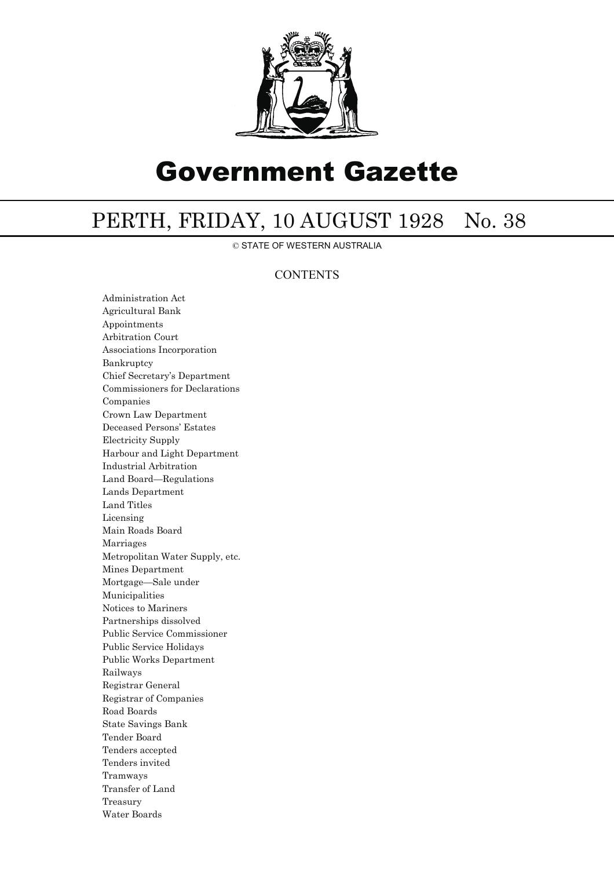

# Government Gazette

## PERTH, FRIDAY, 10 AUGUST 1928 No. 38

© STATE OF WESTERN AUSTRALIA

### **CONTENTS**

Administration Act Agricultural Bank Appointments Arbitration Court Associations Incorporation Bankruptcy Chief Secretary's Department Commissioners for Declarations Companies Crown Law Department Deceased Persons' Estates Electricity Supply Harbour and Light Department Industrial Arbitration Land Board—Regulations Lands Department Land Titles Licensing Main Roads Board Marriages Metropolitan Water Supply, etc. Mines Department Mortgage—Sale under Municipalities Notices to Mariners Partnerships dissolved Public Service Commissioner Public Service Holidays Public Works Department Railways Registrar General Registrar of Companies Road Boards State Savings Bank Tender Board Tenders accepted Tenders invited Tramways Transfer of Land Treasury Water Boards